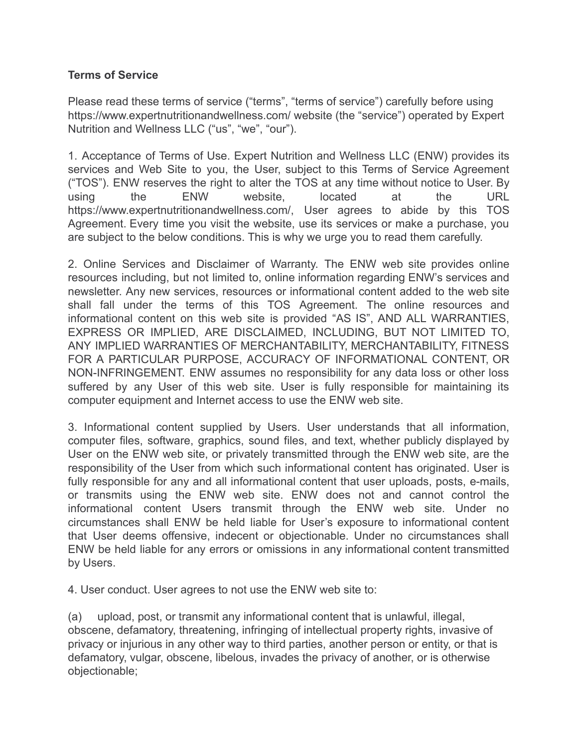## **Terms of Service**

Please read these terms of service ("terms", "terms of service") carefully before using https://www.expertnutritionandwellness.com/ website (the "service") operated by Expert Nutrition and Wellness LLC ("us", "we", "our").

1. Acceptance of Terms of Use. Expert Nutrition and Wellness LLC (ENW) provides its services and Web Site to you, the User, subject to this Terms of Service Agreement ("TOS"). ENW reserves the right to alter the TOS at any time without notice to User. By using the ENW website, located at the URL https://www.expertnutritionandwellness.com/, User agrees to abide by this TOS Agreement. Every time you visit the website, use its services or make a purchase, you are subject to the below conditions. This is why we urge you to read them carefully.

2. Online Services and Disclaimer of Warranty. The ENW web site provides online resources including, but not limited to, online information regarding ENW's services and newsletter. Any new services, resources or informational content added to the web site shall fall under the terms of this TOS Agreement. The online resources and informational content on this web site is provided "AS IS", AND ALL WARRANTIES, EXPRESS OR IMPLIED, ARE DISCLAIMED, INCLUDING, BUT NOT LIMITED TO, ANY IMPLIED WARRANTIES OF MERCHANTABILITY, MERCHANTABILITY, FITNESS FOR A PARTICULAR PURPOSE, ACCURACY OF INFORMATIONAL CONTENT, OR NON-INFRINGEMENT. ENW assumes no responsibility for any data loss or other loss suffered by any User of this web site. User is fully responsible for maintaining its computer equipment and Internet access to use the ENW web site.

3. Informational content supplied by Users. User understands that all information, computer files, software, graphics, sound files, and text, whether publicly displayed by User on the ENW web site, or privately transmitted through the ENW web site, are the responsibility of the User from which such informational content has originated. User is fully responsible for any and all informational content that user uploads, posts, e-mails, or transmits using the ENW web site. ENW does not and cannot control the informational content Users transmit through the ENW web site. Under no circumstances shall ENW be held liable for User's exposure to informational content that User deems offensive, indecent or objectionable. Under no circumstances shall ENW be held liable for any errors or omissions in any informational content transmitted by Users.

4. User conduct. User agrees to not use the ENW web site to:

(a) upload, post, or transmit any informational content that is unlawful, illegal, obscene, defamatory, threatening, infringing of intellectual property rights, invasive of privacy or injurious in any other way to third parties, another person or entity, or that is defamatory, vulgar, obscene, libelous, invades the privacy of another, or is otherwise objectionable;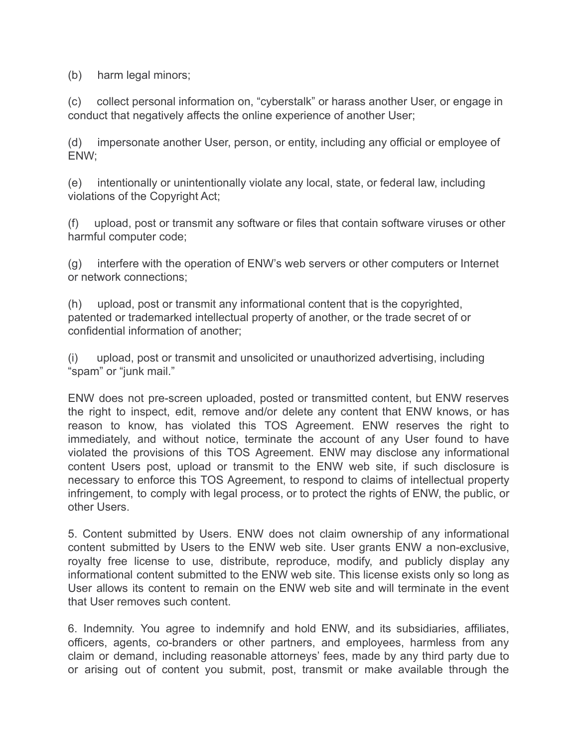(b) harm legal minors;

(c) collect personal information on, "cyberstalk" or harass another User, or engage in conduct that negatively affects the online experience of another User;

(d) impersonate another User, person, or entity, including any official or employee of ENW;

(e) intentionally or unintentionally violate any local, state, or federal law, including violations of the Copyright Act;

(f) upload, post or transmit any software or files that contain software viruses or other harmful computer code;

(g) interfere with the operation of ENW's web servers or other computers or Internet or network connections;

(h) upload, post or transmit any informational content that is the copyrighted, patented or trademarked intellectual property of another, or the trade secret of or confidential information of another;

(i) upload, post or transmit and unsolicited or unauthorized advertising, including "spam" or "junk mail."

ENW does not pre-screen uploaded, posted or transmitted content, but ENW reserves the right to inspect, edit, remove and/or delete any content that ENW knows, or has reason to know, has violated this TOS Agreement. ENW reserves the right to immediately, and without notice, terminate the account of any User found to have violated the provisions of this TOS Agreement. ENW may disclose any informational content Users post, upload or transmit to the ENW web site, if such disclosure is necessary to enforce this TOS Agreement, to respond to claims of intellectual property infringement, to comply with legal process, or to protect the rights of ENW, the public, or other Users.

5. Content submitted by Users. ENW does not claim ownership of any informational content submitted by Users to the ENW web site. User grants ENW a non-exclusive, royalty free license to use, distribute, reproduce, modify, and publicly display any informational content submitted to the ENW web site. This license exists only so long as User allows its content to remain on the ENW web site and will terminate in the event that User removes such content.

6. Indemnity. You agree to indemnify and hold ENW, and its subsidiaries, affiliates, officers, agents, co-branders or other partners, and employees, harmless from any claim or demand, including reasonable attorneys' fees, made by any third party due to or arising out of content you submit, post, transmit or make available through the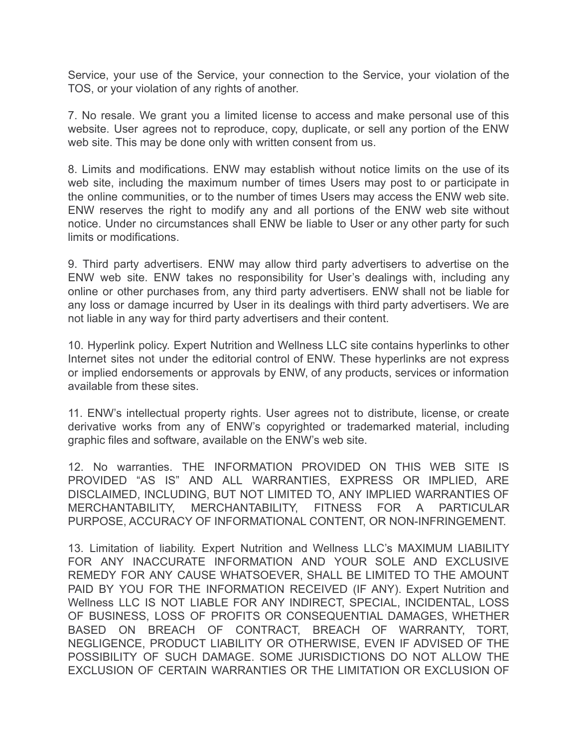Service, your use of the Service, your connection to the Service, your violation of the TOS, or your violation of any rights of another.

7. No resale. We grant you a limited license to access and make personal use of this website. User agrees not to reproduce, copy, duplicate, or sell any portion of the ENW web site. This may be done only with written consent from us.

8. Limits and modifications. ENW may establish without notice limits on the use of its web site, including the maximum number of times Users may post to or participate in the online communities, or to the number of times Users may access the ENW web site. ENW reserves the right to modify any and all portions of the ENW web site without notice. Under no circumstances shall ENW be liable to User or any other party for such limits or modifications.

9. Third party advertisers. ENW may allow third party advertisers to advertise on the ENW web site. ENW takes no responsibility for User's dealings with, including any online or other purchases from, any third party advertisers. ENW shall not be liable for any loss or damage incurred by User in its dealings with third party advertisers. We are not liable in any way for third party advertisers and their content.

10. Hyperlink policy. Expert Nutrition and Wellness LLC site contains hyperlinks to other Internet sites not under the editorial control of ENW. These hyperlinks are not express or implied endorsements or approvals by ENW, of any products, services or information available from these sites.

11. ENW's intellectual property rights. User agrees not to distribute, license, or create derivative works from any of ENW's copyrighted or trademarked material, including graphic files and software, available on the ENW's web site.

12. No warranties. THE INFORMATION PROVIDED ON THIS WEB SITE IS PROVIDED "AS IS" AND ALL WARRANTIES, EXPRESS OR IMPLIED, ARE DISCLAIMED, INCLUDING, BUT NOT LIMITED TO, ANY IMPLIED WARRANTIES OF MERCHANTABILITY, MERCHANTABILITY, FITNESS FOR A PARTICULAR PURPOSE, ACCURACY OF INFORMATIONAL CONTENT, OR NON-INFRINGEMENT.

13. Limitation of liability. Expert Nutrition and Wellness LLC's MAXIMUM LIABILITY FOR ANY INACCURATE INFORMATION AND YOUR SOLE AND EXCLUSIVE REMEDY FOR ANY CAUSE WHATSOEVER, SHALL BE LIMITED TO THE AMOUNT PAID BY YOU FOR THE INFORMATION RECEIVED (IF ANY). Expert Nutrition and Wellness LLC IS NOT LIABLE FOR ANY INDIRECT, SPECIAL, INCIDENTAL, LOSS OF BUSINESS, LOSS OF PROFITS OR CONSEQUENTIAL DAMAGES, WHETHER BASED ON BREACH OF CONTRACT, BREACH OF WARRANTY, TORT, NEGLIGENCE, PRODUCT LIABILITY OR OTHERWISE, EVEN IF ADVISED OF THE POSSIBILITY OF SUCH DAMAGE. SOME JURISDICTIONS DO NOT ALLOW THE EXCLUSION OF CERTAIN WARRANTIES OR THE LIMITATION OR EXCLUSION OF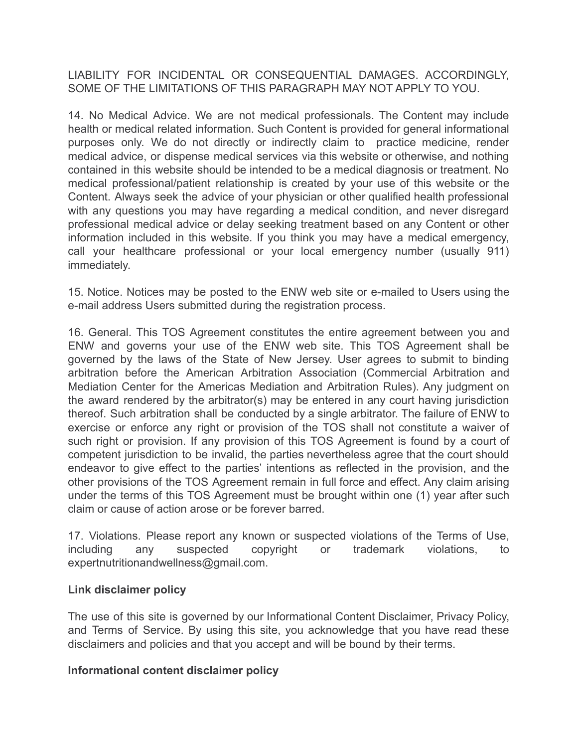LIABILITY FOR INCIDENTAL OR CONSEQUENTIAL DAMAGES. ACCORDINGLY, SOME OF THE LIMITATIONS OF THIS PARAGRAPH MAY NOT APPLY TO YOU.

14. No Medical Advice. We are not medical professionals. The Content may include health or medical related information. Such Content is provided for general informational purposes only. We do not directly or indirectly claim to practice medicine, render medical advice, or dispense medical services via this website or otherwise, and nothing contained in this website should be intended to be a medical diagnosis or treatment. No medical professional/patient relationship is created by your use of this website or the Content. Always seek the advice of your physician or other qualified health professional with any questions you may have regarding a medical condition, and never disregard professional medical advice or delay seeking treatment based on any Content or other information included in this website. If you think you may have a medical emergency, call your healthcare professional or your local emergency number (usually 911) immediately.

15. Notice. Notices may be posted to the ENW web site or e-mailed to Users using the e-mail address Users submitted during the registration process.

16. General. This TOS Agreement constitutes the entire agreement between you and ENW and governs your use of the ENW web site. This TOS Agreement shall be governed by the laws of the State of New Jersey. User agrees to submit to binding arbitration before the American Arbitration Association (Commercial Arbitration and Mediation Center for the Americas Mediation and Arbitration Rules). Any judgment on the award rendered by the arbitrator(s) may be entered in any court having jurisdiction thereof. Such arbitration shall be conducted by a single arbitrator. The failure of ENW to exercise or enforce any right or provision of the TOS shall not constitute a waiver of such right or provision. If any provision of this TOS Agreement is found by a court of competent jurisdiction to be invalid, the parties nevertheless agree that the court should endeavor to give effect to the parties' intentions as reflected in the provision, and the other provisions of the TOS Agreement remain in full force and effect. Any claim arising under the terms of this TOS Agreement must be brought within one (1) year after such claim or cause of action arose or be forever barred.

17. Violations. Please report any known or suspected violations of the Terms of Use, including any suspected copyright or trademark violations, to expertnutritionandwellness@gmail.com.

## **Link disclaimer policy**

The use of this site is governed by our Informational Content Disclaimer, Privacy Policy, and Terms of Service. By using this site, you acknowledge that you have read these disclaimers and policies and that you accept and will be bound by their terms.

## **Informational content disclaimer policy**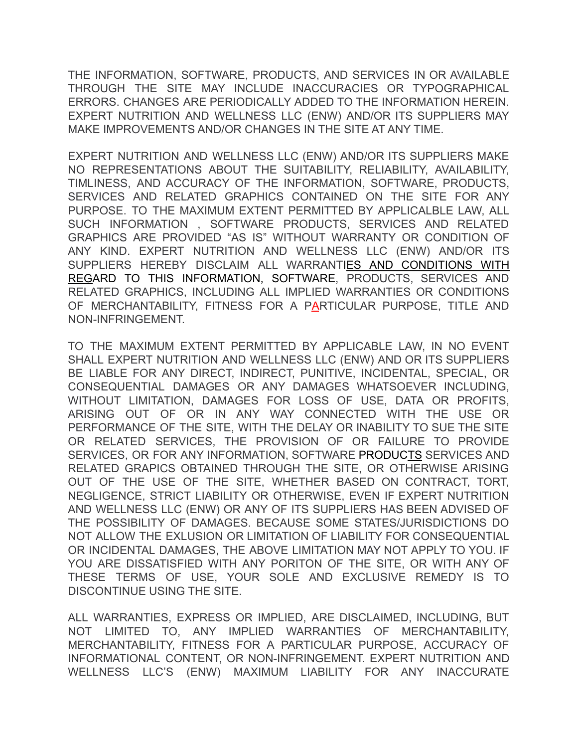THE INFORMATION, SOFTWARE, PRODUCTS, AND SERVICES IN OR AVAILABLE THROUGH THE SITE MAY INCLUDE INACCURACIES OR TYPOGRAPHICAL ERRORS. CHANGES ARE PERIODICALLY ADDED TO THE INFORMATION HEREIN. EXPERT NUTRITION AND WELLNESS LLC (ENW) AND/OR ITS SUPPLIERS MAY MAKE IMPROVEMENTS AND/OR CHANGES IN THE SITE AT ANY TIME.

EXPERT NUTRITION AND WELLNESS LLC (ENW) AND/OR ITS SUPPLIERS MAKE NO REPRESENTATIONS ABOUT THE SUITABILITY, RELIABILITY, AVAILABILITY, TIMLINESS, AND ACCURACY OF THE INFORMATION, SOFTWARE, PRODUCTS, SERVICES AND RELATED GRAPHICS CONTAINED ON THE SITE FOR ANY PURPOSE. TO THE MAXIMUM EXTENT PERMITTED BY APPLICALBLE LAW, ALL SUCH INFORMATION , SOFTWARE PRODUCTS, SERVICES AND RELATED GRAPHICS ARE PROVIDED "AS IS" WITHOUT WARRANTY OR CONDITION OF ANY KIND. EXPERT NUTRITION AND WELLNESS LLC (ENW) AND/OR ITS SUPPLIERS HEREBY DISCLAIM ALL WARRANTIES AND CONDITIONS WITH REGARD TO THIS INFORMATION, SOFTWARE, PRODUCTS, SERVICES AND RELATED GRAPHICS, INCLUDING ALL IMPLIED WARRANTIES OR CONDITIONS OF MERCHANTABILITY, FITNESS FOR A PARTICULAR PURPOSE, TITLE AND NON-INFRINGEMENT.

TO THE MAXIMUM EXTENT PERMITTED BY APPLICABLE LAW, IN NO EVENT SHALL EXPERT NUTRITION AND WELLNESS LLC (ENW) AND OR ITS SUPPLIERS BE LIABLE FOR ANY DIRECT, INDIRECT, PUNITIVE, INCIDENTAL, SPECIAL, OR CONSEQUENTIAL DAMAGES OR ANY DAMAGES WHATSOEVER INCLUDING, WITHOUT LIMITATION, DAMAGES FOR LOSS OF USE, DATA OR PROFITS, ARISING OUT OF OR IN ANY WAY CONNECTED WITH THE USE OR PERFORMANCE OF THE SITE, WITH THE DELAY OR INABILITY TO SUE THE SITE OR RELATED SERVICES, THE PROVISION OF OR FAILURE TO PROVIDE SERVICES, OR FOR ANY INFORMATION, SOFTWARE PRODUCTS SERVICES AND RELATED GRAPICS OBTAINED THROUGH THE SITE, OR OTHERWISE ARISING OUT OF THE USE OF THE SITE, WHETHER BASED ON CONTRACT, TORT, NEGLIGENCE, STRICT LIABILITY OR OTHERWISE, EVEN IF EXPERT NUTRITION AND WELLNESS LLC (ENW) OR ANY OF ITS SUPPLIERS HAS BEEN ADVISED OF THE POSSIBILITY OF DAMAGES. BECAUSE SOME STATES/JURISDICTIONS DO NOT ALLOW THE EXLUSION OR LIMITATION OF LIABILITY FOR CONSEQUENTIAL OR INCIDENTAL DAMAGES, THE ABOVE LIMITATION MAY NOT APPLY TO YOU. IF YOU ARE DISSATISFIED WITH ANY PORITON OF THE SITE, OR WITH ANY OF THESE TERMS OF USE, YOUR SOLE AND EXCLUSIVE REMEDY IS TO DISCONTINUE USING THE SITE.

ALL WARRANTIES, EXPRESS OR IMPLIED, ARE DISCLAIMED, INCLUDING, BUT NOT LIMITED TO, ANY IMPLIED WARRANTIES OF MERCHANTABILITY, MERCHANTABILITY, FITNESS FOR A PARTICULAR PURPOSE, ACCURACY OF INFORMATIONAL CONTENT, OR NON-INFRINGEMENT. EXPERT NUTRITION AND WELLNESS LLC'S (ENW) MAXIMUM LIABILITY FOR ANY INACCURATE